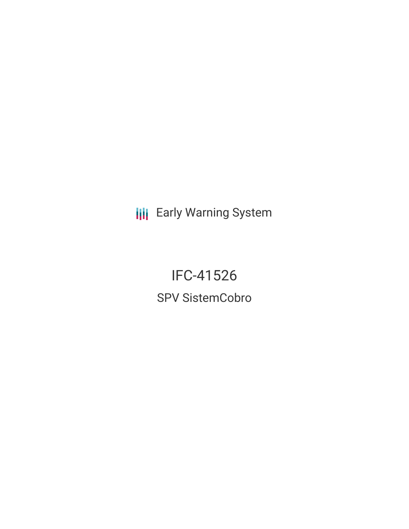**III** Early Warning System

IFC-41526 SPV SistemCobro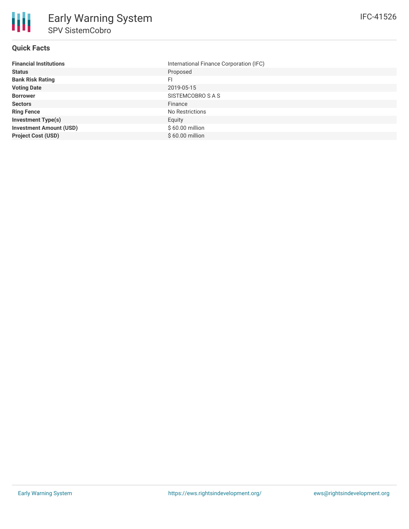### **Quick Facts**

朋

| <b>Financial Institutions</b>  | International Finance Corporation (IFC) |
|--------------------------------|-----------------------------------------|
| <b>Status</b>                  | Proposed                                |
| <b>Bank Risk Rating</b>        | FI                                      |
| <b>Voting Date</b>             | 2019-05-15                              |
| <b>Borrower</b>                | SISTEMCOBRO S A S                       |
| <b>Sectors</b>                 | Finance                                 |
| <b>Ring Fence</b>              | No Restrictions                         |
| <b>Investment Type(s)</b>      | Equity                                  |
| <b>Investment Amount (USD)</b> | \$60.00 million                         |
| <b>Project Cost (USD)</b>      | \$60.00 million                         |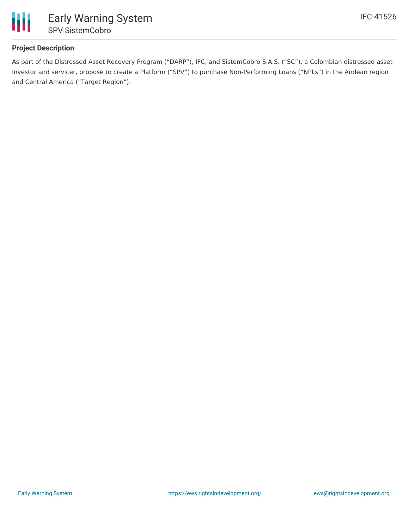

# **Project Description**

As part of the Distressed Asset Recovery Program ("DARP"), IFC, and SistemCobro S.A.S. ("SC"), a Colombian distressed asset investor and servicer, propose to create a Platform ("SPV") to purchase Non-Performing Loans ("NPLs") in the Andean region and Central America ("Target Region").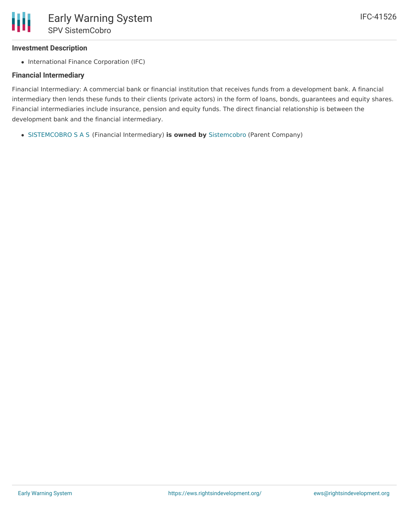## **Investment Description**

• International Finance Corporation (IFC)

### **Financial Intermediary**

Financial Intermediary: A commercial bank or financial institution that receives funds from a development bank. A financial intermediary then lends these funds to their clients (private actors) in the form of loans, bonds, guarantees and equity shares. Financial intermediaries include insurance, pension and equity funds. The direct financial relationship is between the development bank and the financial intermediary.

[SISTEMCOBRO](file:///actor/4111/) S A S (Financial Intermediary) **is owned by** [Sistemcobro](file:///actor/4118/) (Parent Company)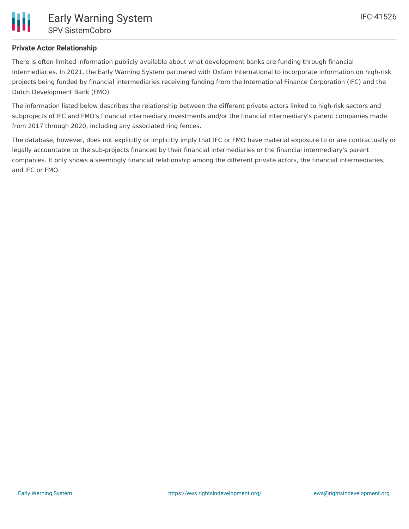There is often limited information publicly available about what development banks are funding through financial intermediaries. In 2021, the Early Warning System partnered with Oxfam International to incorporate information on high-risk projects being funded by financial intermediaries receiving funding from the International Finance Corporation (IFC) and the Dutch Development Bank (FMO).

The information listed below describes the relationship between the different private actors linked to high-risk sectors and subprojects of IFC and FMO's financial intermediary investments and/or the financial intermediary's parent companies made from 2017 through 2020, including any associated ring fences.

The database, however, does not explicitly or implicitly imply that IFC or FMO have material exposure to or are contractually or legally accountable to the sub-projects financed by their financial intermediaries or the financial intermediary's parent companies. It only shows a seemingly financial relationship among the different private actors, the financial intermediaries, and IFC or FMO.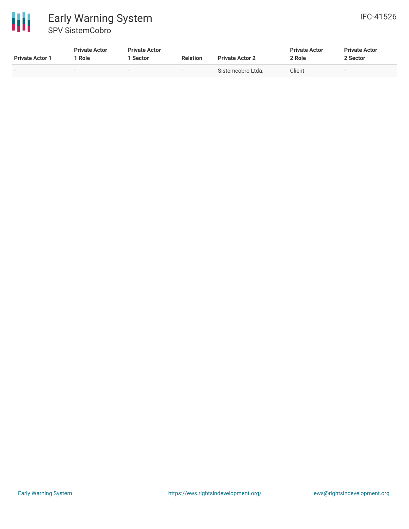

| <b>Private Actor 1</b> | <b>Private Actor</b><br>1 Role | <b>Private Actor</b><br>l Sector | <b>Relation</b>          | <b>Private Actor 2</b> | <b>Private Actor</b><br>2 Role | <b>Private Actor</b><br>2 Sector |
|------------------------|--------------------------------|----------------------------------|--------------------------|------------------------|--------------------------------|----------------------------------|
| $\sim$                 | $\overline{\phantom{a}}$       | -                                | $\overline{\phantom{a}}$ | Sistemcobro Ltda.      | Client                         | $\sim$                           |